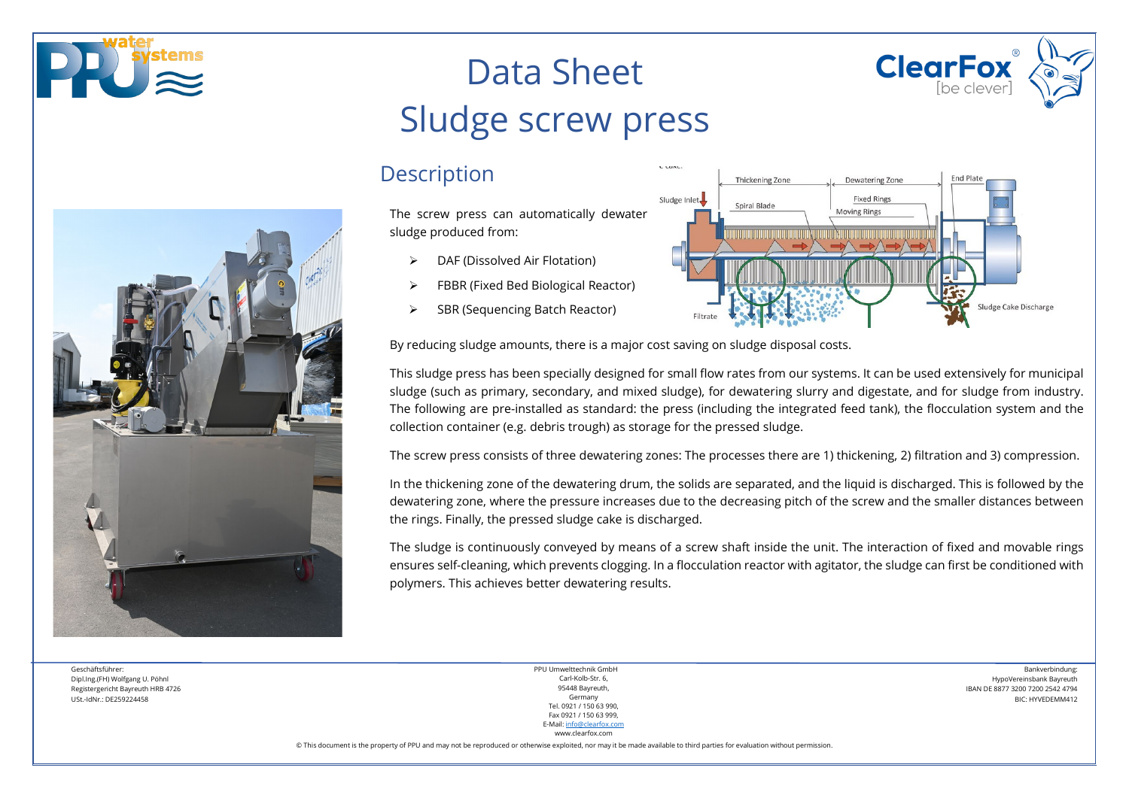



## Data Sheet Sludge screw press

#### **Description**

The screw press can automatically dewater sludge produced from:

- DAF (Dissolved Air Flotation)
- > FBBR (Fixed Bed Biological Reactor)
- $\triangleright$  SBR (Sequencing Batch Reactor)



**ClearFox** 

By reducing sludge amounts, there is a major cost saving on sludge disposal costs.

This sludge press has been specially designed for small flow rates from our systems. It can be used extensively for municipal sludge (such as primary, secondary, and mixed sludge), for dewatering slurry and digestate, and for sludge from industry. The following are pre-installed as standard: the press (including the integrated feed tank), the flocculation system and the collection container (e.g. debris trough) as storage for the pressed sludge.

The screw press consists of three dewatering zones: The processes there are 1) thickening, 2) filtration and 3) compression.

In the thickening zone of the dewatering drum, the solids are separated, and the liquid is discharged. This is followed by the dewatering zone, where the pressure increases due to the decreasing pitch of the screw and the smaller distances between the rings. Finally, the pressed sludge cake is discharged.

The sludge is continuously conveyed by means of a screw shaft inside the unit. The interaction of fixed and movable rings ensures self-cleaning, which prevents clogging. In a flocculation reactor with agitator, the sludge can first be conditioned with polymers. This achieves better dewatering results.

Geschäftsführer: Dipl.Ing.(FH) Wolfgang U. Pöhnl Registergericht Bayreuth HRB 4726 USt.-IdNr.: DE259224458

PPU Umwelttechnik GmbH Carl-Kolb-Str. 6, 95448 Bayreuth, Germany Tel. 0921 / 150 63 990, Fax 0921 / 150 63 999, E-Mail[: info@clearfox.com](mailto:info@clearfox.com)

www.clearfox.com

Bankverbindung: HypoVereinsbank Bayreuth IBAN DE 8877 3200 7200 2542 4794 BIC: HYVEDEMM412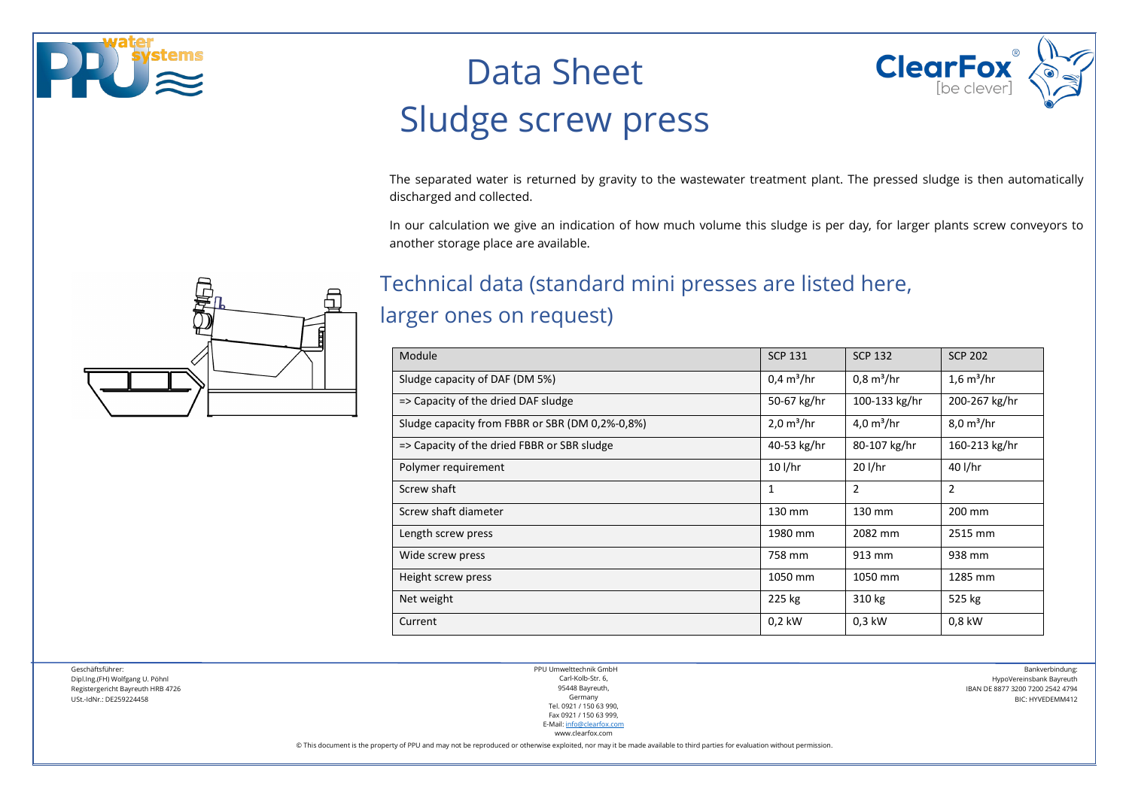

## Data Sheet Sludge screw press

**ClearFox** 

The separated water is returned by gravity to the wastewater treatment plant. The pressed sludge is then automatically discharged and collected.

In our calculation we give an indication of how much volume this sludge is per day, for larger plants screw conveyors to another storage place are available.

# 一种

### Technical data (standard mini presses are listed here, larger ones on request)

| Module                                          | <b>SCP 131</b>              | <b>SCP 132</b>              | <b>SCP 202</b>                   |
|-------------------------------------------------|-----------------------------|-----------------------------|----------------------------------|
| Sludge capacity of DAF (DM 5%)                  | $0,4 \text{ m}^3/\text{hr}$ | $0,8 \text{ m}^3/\text{hr}$ | $1,6 \text{ m}^3/\text{hr}$      |
| => Capacity of the dried DAF sludge             | 50-67 kg/hr                 | 100-133 kg/hr               | 200-267 kg/hr                    |
| Sludge capacity from FBBR or SBR (DM 0,2%-0,8%) | $2.0 \text{ m}^3/\text{hr}$ | 4,0 $m^3$ /hr               | $8.0 \,\mathrm{m}^3/\mathrm{hr}$ |
| => Capacity of the dried FBBR or SBR sludge     | 40-53 kg/hr                 | 80-107 kg/hr                | 160-213 kg/hr                    |
| Polymer requirement                             | $10$ l/hr                   | 20 l/hr                     | 40 l/hr                          |
| Screw shaft                                     | 1                           | $\overline{2}$              | 2                                |
| Screw shaft diameter                            | 130 mm                      | 130 mm                      | 200 mm                           |
| Length screw press                              | 1980 mm                     | 2082 mm                     | 2515 mm                          |
| Wide screw press                                | 758 mm                      | 913 mm                      | 938 mm                           |
| Height screw press                              | 1050 mm                     | 1050 mm                     | 1285 mm                          |
| Net weight                                      | 225 kg                      | 310 kg                      | 525 kg                           |
| Current                                         | $0.2$ kW                    | 0,3 kW                      | 0,8 kW                           |

Geschäftsführer: Dipl.Ing.(FH) Wolfgang U. Pöhnl Registergericht Bayreuth HRB 4726 USt.-IdNr.: DE259224458

PPU Umwelttechnik GmbH Carl-Kolb-Str. 6, 95448 Bayreuth, Germany Tel. 0921 / 150 63 990, Fax 0921 / 150 63 999, E-Mail[: info@clearfox.com](mailto:info@clearfox.com)

Bankverbindung: HypoVereinsbank Bayreuth IBAN DE 8877 3200 7200 2542 4794 BIC: HYVEDEMM412

www.clearfox.com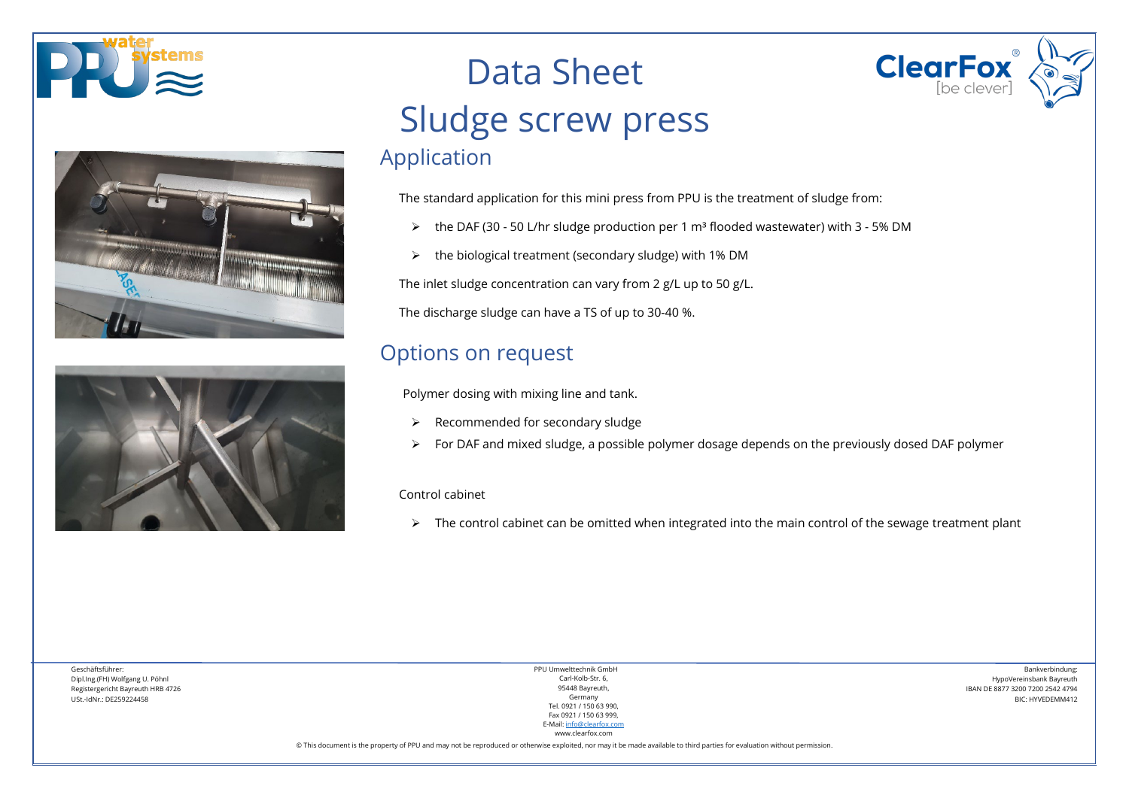



## Data Sheet Sludge screw press Application

The standard application for this mini press from PPU is the treatment of sludge from:

- $\triangleright$  the DAF (30 50 L/hr sludge production per 1 m<sup>3</sup> flooded wastewater) with 3 5% DM
- $\triangleright$  the biological treatment (secondary sludge) with 1% DM

The inlet sludge concentration can vary from 2 g/L up to 50 g/L.

The discharge sludge can have a TS of up to 30-40 %.

#### Options on request

Polymer dosing with mixing line and tank.

- $\triangleright$  Recommended for secondary sludge
- For DAF and mixed sludge, a possible polymer dosage depends on the previously dosed DAF polymer

#### Control cabinet

 $\triangleright$  The control cabinet can be omitted when integrated into the main control of the sewage treatment plant

Geschäftsführer: Dipl.Ing.(FH) Wolfgang U. Pöhnl Registergericht Bayreuth HRB 4726 USt.-IdNr.: DE259224458

PPU Umwelttechnik GmbH Carl-Kolb-Str. 6, 95448 Bayreuth, Germany Tel. 0921 / 150 63 990, Fax 0921 / 150 63 999, E-Mail[: info@clearfox.com](mailto:info@clearfox.com)

www.clearfox.com

Bankverbindung: HypoVereinsbank Bayreuth IBAN DE 8877 3200 7200 2542 4794 BIC: HYVEDEMM412

**ClearFox**